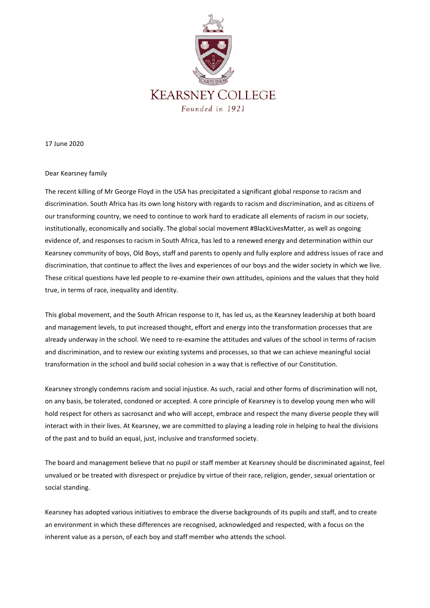

17 June 2020

## Dear Kearsney family

The recent killing of Mr George Floyd in the USA has precipitated a significant global response to racism and discrimination. South Africa has its own long history with regards to racism and discrimination, and as citizens of our transforming country, we need to continue to work hard to eradicate all elements of racism in our society, institutionally, economically and socially. The global social movement #BlackLivesMatter, as well as ongoing evidence of, and responses to racism in South Africa, has led to a renewed energy and determination within our Kearsney community of boys, Old Boys, staff and parents to openly and fully explore and address issues of race and discrimination, that continue to affect the lives and experiences of our boys and the wider society in which we live. These critical questions have led people to re-examine their own attitudes, opinions and the values that they hold true, in terms of race, inequality and identity.

This global movement, and the South African response to it, has led us, as the Kearsney leadership at both board and management levels, to put increased thought, effort and energy into the transformation processes that are already underway in the school. We need to re-examine the attitudes and values of the school in terms of racism and discrimination, and to review our existing systems and processes, so that we can achieve meaningful social transformation in the school and build social cohesion in a way that is reflective of our Constitution.

Kearsney strongly condemns racism and social injustice. As such, racial and other forms of discrimination will not, on any basis, be tolerated, condoned or accepted. A core principle of Kearsney is to develop young men who will hold respect for others as sacrosanct and who will accept, embrace and respect the many diverse people they will interact with in their lives. At Kearsney, we are committed to playing a leading role in helping to heal the divisions of the past and to build an equal, just, inclusive and transformed society.

The board and management believe that no pupil or staff member at Kearsney should be discriminated against, feel unvalued or be treated with disrespect or prejudice by virtue of their race, religion, gender, sexual orientation or social standing.

Kearsney has adopted various initiatives to embrace the diverse backgrounds of its pupils and staff, and to create an environment in which these differences are recognised, acknowledged and respected, with a focus on the inherent value as a person, of each boy and staff member who attends the school.